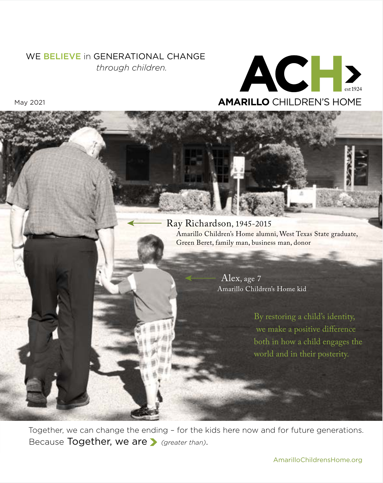### WE BELIEVE in GENERATIONAL CHANGE *through children.*



May 2021

Ray Richardson, 1945-2015 Amarillo Children's Home alumni, West Texas State graduate, Green Beret, family man, business man, donor

> Alex, age 7 Amarillo Children's Home kid

> > By restoring a child's identity, we make a positive difference both in how a child engages the world and in their posterity.

Together, we can change the ending – for the kids here now and for future generations. Because Together, we are *(greater than)*.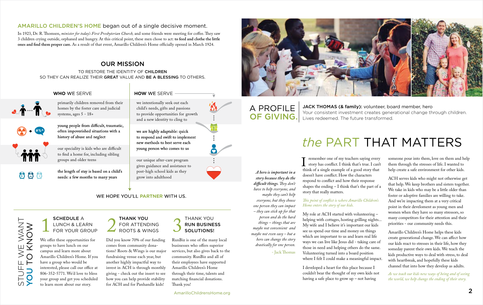We offer these opportunities for groups to have lunch on our campus and learn more about Amarillo Children's Home. If you have a group who would be interested, please call our office at 806-352-5771. We'd love to bless your group and get you scheduled to learn more about our story.

remember one of my teachers saying every story has conflict. I think that's true. I can't think of a single example of a good story that doesn't have conflict. How the characters respond to conflict and how their response shapes the ending – I think that's the part of a story that really matters.  $\mathbf{l}_{\text{th}}$ 

#### *This point of conflict is where Amarillo Children's Home enters the story of our kids.*

JACK THOMAS (& family): volunteer, board member, hero Your consistent investment creates generational change through children. Lives redeemed. The future transformed.

My role at ACH started with volunteering – helping with cottages, hosting grilling nights... My wife and I believe it's important our kids see us spend our time and money on things which are important to us and learn real life ways we can live like Jesus did - taking care of those in need and helping others do the same. Volunteering turned into a board position where I felt I could make a meaningful impact.

### FOR ATTENDING ROOTS & WINGS THANK YOU<br>
FOR ATTENDING<br>
ROOTS & WINGS<br>
NOTS & WINGS<br>
CONTROLLER PORT COMPUTIONS!

## RUN BUSINESS SOLUTIONS! 3<br>...

RunBiz is one of the many local businesses who offers superior services, but also gives back to the community. RunBiz and all of their employees have supported Amarillo Children's Home through their time, talents and matching financial donations. Thank you!

AmarilloChildrensHome.org 2004



I developed a heart for this place because I couldn't bear the thought of my own kids not having a safe place to grow up – not having

# *the* PART THAT MATTERS

*A hero is important in a story because they do the difficult things. They don't have to help everyone, and maybe they can't help everyone, but they choose one person they can impact – they can stick up for that person and do the hard things – things that are maybe not convenient and maybe not even easy – but a hero can change the story drastically for one person.* 

- Jack Thomas

## A PROFILE OF GIVING.

In 1923, Dr. R. Thomsen, *minister for today's First Presbyterian Church*, and some friends were meeting for coffee. They saw 3 children crying outside, orphaned and hungry. At this critical point, these men chose to act: **to feed and clothe the little ones and find them proper care.** As a result of that event, Amarillo Children's Home officially opened in March 1924.

> Did you know 70% of our funding comes from community donations? Roots & Wings is our major fundraising venue each year, but another highly impactful way to invest in ACH is through monthly giving - check out the insert to see how you can help provide stability for ACH and for Panhandle kids!

young people from difficult, traumatic, often impoverished situations with a history of abuse and neglect

our speciality is kids who are difficult to find a home for, including sibling groups and older teens

someone pour into them, love on them and help them through the stresses of life. I wanted to help create a safe environment for other kids.

ACH serves kids who might not otherwise get that help. We keep brothers and sisters together. We take in kids who may be a little older than foster or adoptive families are willing to take. And we're impacting them at a very critical point in their develoment as young men and women when they have so many stressors, so many competitors for their attention and their priorities - our community needs this.

Amarillo Children's Home helps these kids create generational change. We can affect how our kids react to stresses in their life, how they someday parent their own kids. We teach the kids productive ways to deal with stress, to deal with heartbreak, and hopefully these kids channel that into how they develop as adults.

*As we teach our kids new ways of being and of seeing the world, we help change the ending of their story.*

### AMARILLO CHILDREN'S HOME began out of a single decisive moment.

### OUR MISSION

TO RESTORE THE IDENTITY OF CHILDREN SO THEY CAN REALIZE THEIR GREAT VALUE AND BE A BLESSING TO OTHERS.

### WHO WE SERVE



primarily children removed from their homes by the foster care and judicial systems, ages 5 - 18+

the length of stay is based on a child's needs: a few months to many years

child's needs, gifts and passions to provide opportunities for growth and a new identity to cling to

### we intentionally seek out each HOW WE SERVE

we are highly adaptable: quick to respond and swift to implement new methods to best serve each young person who comes to us

our unique after-care program gives guidance and assistance to post-high school kids as they grow into adulthood

### WE HOPE YOU'LL PARTNER WITH US.

F WE WANT<br>TO KNOW HZK/Y W/Y LLコLS YOU TO KNOW EL  $\overline{\phantom{0}}$  $\mathbf O$  $\cup$   $\succ$ 

SCHEDULE A LUNCH & LEARN FOR YOUR GROUP SCHEDULE A<br>
LUNCH & LEARN<br>
FOR YOUR GROUP<br>
We find the SOLL of The Town of



666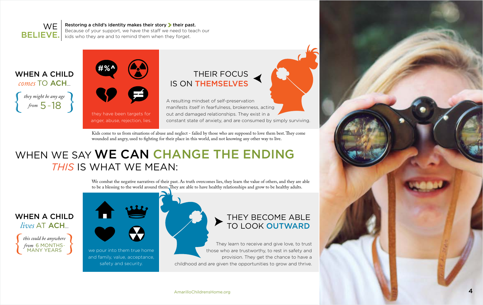We combat the negative narratives of their past. As truth overcomes lies, they learn the value of others, and they are able to be a blessing to the world around them. They are able to have healthy relationships and grow to be healthy adults.

## WHEN WE SAY **WE CAN CHANGE THE ENDING** *THIS* IS WHAT WE MEAN:

*this could be anywhere*<br>*from 6 MONTHS-*<br>MANY YEARS  *from* 6 MONTHS-MANY YEARS





WHEN A CHILD *comes* TO ACH*...*

WHEN A CHILD *lives* AT ACH*...*



THEIR FOCUS IS ON THEMSELVES



Restoring a child's identity makes their story > their past. Because of your support, we have the staff we need to teach our kids who they are and to remind them when they forget.

anger, abuse, rejection, lies.

A resulting mindset of self-preservation manifests itself in fearfulness, brokenness, acting out and damaged relationships. They exist in a constant state of anxiety, and are consumed by simply surviving.

Kids come to us from situations of abuse and neglect - failed by those who are supposed to love them best. They come wounded and angry, used to fighting for their place in this world, and not knowing any other way to live.

## THEY BECOME ABLE TO LOOK OUTWARD

we pour into them true home and family, value, acceptance, safety and security.

They learn to receive and give love, to trust those who are trustworthy, to rest in safety and provision. They get the chance to have a childhood and are given the opportunities to grow and thrive.

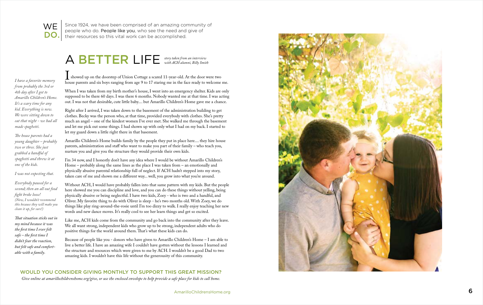

Since 1924, we have been comprised of an amazing community of people who do. People like you, who see the need and give of their resources so this vital work can be accomplished.

 showed up on the doorstep of Union Cottage a scared 11-year-old. At the door were two house parents and six boys ranging from age 9 to 17 staring me in the face ready to welcome me.

When I was taken from my birth mother's house, I went into an emergency shelter. Kids are only supposed to be there 60 days. I was there 6 months. Nobody wanted me at that time. I was acting out. I was not that desirable, cute little baby.... but Amarillo Children's Home gave me a chance.

I'm 34 now, and I honestly don't have any idea where I would be without Amarillo Children's Home – probably along the same lines as the place I was taken from – an emotionally and physically abusive parental relationship full of neglect. If ACH hadn't stepped into my story, taken care of me and shown me a different way... well, you grow into what you're around.

Without ACH, I would have probably fallen into that same pattern with my kids. But the people here showed me you can discipline and love, and you can do these things without yelling, being physically abusive or being neglectful. I have two kids, Zoey - who is two and a handful, and Oliver. My favorite thing to do with Oliver is sleep - he's two months old. With Zoey, we do things like play ring-around-the-rosie until I'm too dizzy to walk. I really enjoy teaching her new words and new dance moves. It's really cool to see her learn things and get so excited. showed up on the doorstep of Union Cottage a scared 11-year-old. At the door paraches and axis boys ranging from age 9 to 17 staring me in the face ready to When I was taken from my birth mother's house, I went into an em

Right after I arrived, I was taken down to the basement of the administration building to get clothes. Becky was the person who, at that time, provided everybody with clothes. She's pretty much an angel – one of the kindest women I've ever met. She walked me through the basement and let me pick out some things. I had shown up with only what I had on my back. I started to let my guard down a little right there in that basement.

Like me, ACH kids come from the community and go back into the community after they leave. We all want strong, independent kids who grow up to be strong, independent adults who do positive things for the world around them. That's what these kids can do.

Amarillo Children's Home builds family by the people they put in place here.... they hire house parents, administration and staff who want to make you part of their family - who teach you, nurture you and give you the structure they would provide their own kids.

*That situation sticks out in my mind because it was*  the first time I ever felt safe – the first time I *didn't fear the reaction, but felt safe and comfort able with a family.* 

Because of people like you - donors who have given to Amarillo Children's Home – I am able to live a better life. I have an amazing wife I couldn't have gotten without the lessons I learned and the structure and resources which were given to me by ACH. I wouldn't be a good Dad to two

*I have a favorite memory from probably the 3rd or 4th day after I got to Amarillo Children's Home. It's a scary time for any kid. Everything is new. We were sitting down to eat that night - we had all made spaghetti.*

*e house parents had a young daughter – probably two or three. She just grabbed a handful of spaghetti and threw it at one of the kids.*

*I was not expecting that.*

*Everybody paused for a second; then an all out food ght broke loose! (Now, I wouldn't recommend this because they will make you clean it up, for sure!)*

### A BETTER LIFE *story taken from an interview with ACH alumni, Billy Smith*

### WOULD YOU CONSIDER GIVING MONTHLY TO SUPPORT THIS GREAT MISSION?

*Give online at amarillochildrenshome.org/give, or use the enclosed envelope to help provide a safe place for kids to call home.*